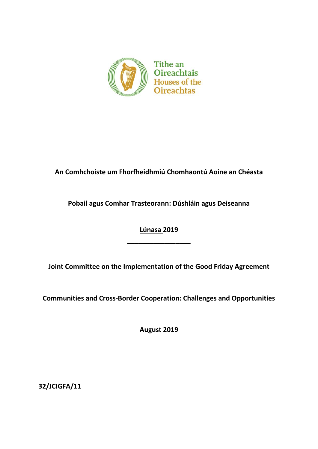

## **An Comhchoiste um Fhorfheidhmiú Chomhaontú Aoine an Chéasta**

**Pobail agus Comhar Trasteorann: Dúshláin agus Deiseanna** 

**Lúnasa 2019**

**\_\_\_\_\_\_\_\_\_\_\_\_\_\_\_\_\_**

**Joint Committee on the Implementation of the Good Friday Agreement**

**Communities and Cross-Border Cooperation: Challenges and Opportunities** 

**August 2019**

**32/JCIGFA/11**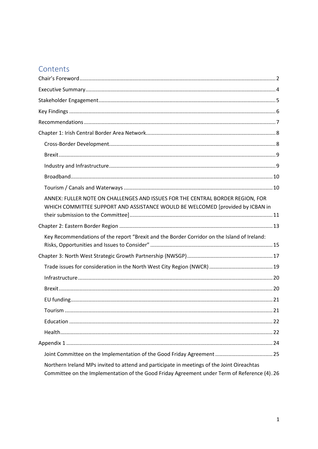# Contents

| ANNEX: FULLER NOTE ON CHALLENGES AND ISSUES FOR THE CENTRAL BORDER REGION, FOR<br>WHICH COMMITTEE SUPPORT AND ASSISTANCE WOULD BE WELCOMED [provided by ICBAN in                          |
|-------------------------------------------------------------------------------------------------------------------------------------------------------------------------------------------|
|                                                                                                                                                                                           |
| Key Recommendations of the report "Brexit and the Border Corridor on the Island of Ireland:                                                                                               |
|                                                                                                                                                                                           |
|                                                                                                                                                                                           |
|                                                                                                                                                                                           |
|                                                                                                                                                                                           |
|                                                                                                                                                                                           |
|                                                                                                                                                                                           |
|                                                                                                                                                                                           |
|                                                                                                                                                                                           |
|                                                                                                                                                                                           |
|                                                                                                                                                                                           |
| Northern Ireland MPs invited to attend and participate in meetings of the Joint Oireachtas<br>Committee on the Implementation of the Good Friday Agreement under Term of Reference (4).26 |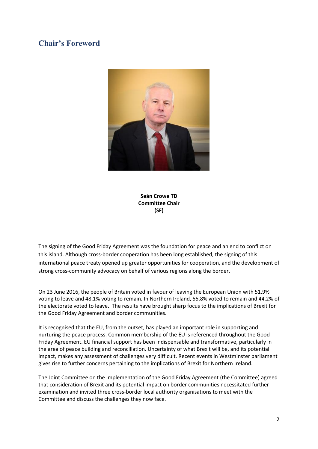## <span id="page-2-0"></span>**Chair's Foreword**



**Seán Crowe TD Committee Chair (SF)**

The signing of the Good Friday Agreement was the foundation for peace and an end to conflict on this island. Although cross-border cooperation has been long established, the signing of this international peace treaty opened up greater opportunities for cooperation, and the development of strong cross-community advocacy on behalf of various regions along the border.

On 23 June 2016, the people of Britain voted in favour of leaving the European Union with 51.9% voting to leave and 48.1% voting to remain. In Northern Ireland, 55.8% voted to remain and 44.2% of the electorate voted to leave. The results have brought sharp focus to the implications of Brexit for the Good Friday Agreement and border communities.

It is recognised that the EU, from the outset, has played an important role in supporting and nurturing the peace process. Common membership of the EU is referenced throughout the Good Friday Agreement. EU financial support has been indispensable and transformative, particularly in the area of peace building and reconciliation. Uncertainty of what Brexit will be, and its potential impact, makes any assessment of challenges very difficult. Recent events in Westminster parliament gives rise to further concerns pertaining to the implications of Brexit for Northern Ireland.

The Joint Committee on the Implementation of the Good Friday Agreement (the Committee) agreed that consideration of Brexit and its potential impact on border communities necessitated further examination and invited three cross-border local authority organisations to meet with the Committee and discuss the challenges they now face.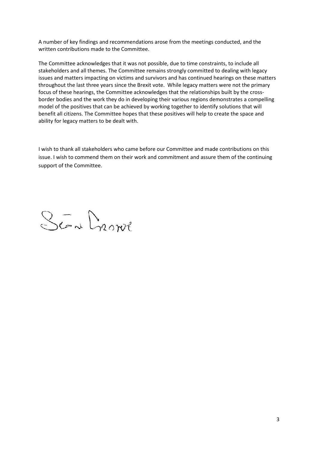A number of key findings and recommendations arose from the meetings conducted, and the written contributions made to the Committee.

The Committee acknowledges that it was not possible, due to time constraints, to include all stakeholders and all themes. The Committee remains strongly committed to dealing with legacy issues and matters impacting on victims and survivors and has continued hearings on these matters throughout the last three years since the Brexit vote. While legacy matters were not the primary focus of these hearings, the Committee acknowledges that the relationships built by the crossborder bodies and the work they do in developing their various regions demonstrates a compelling model of the positives that can be achieved by working together to identify solutions that will benefit all citizens. The Committee hopes that these positives will help to create the space and ability for legacy matters to be dealt with.

I wish to thank all stakeholders who came before our Committee and made contributions on this issue. I wish to commend them on their work and commitment and assure them of the continuing support of the Committee.

Scan Drown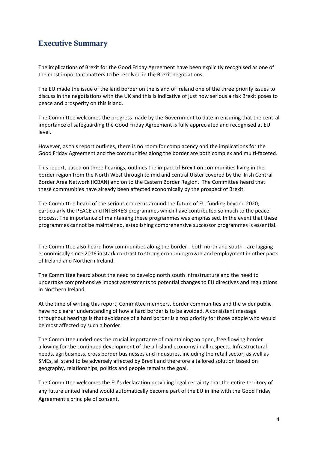## <span id="page-4-0"></span>**Executive Summary**

The implications of Brexit for the Good Friday Agreement have been explicitly recognised as one of the most important matters to be resolved in the Brexit negotiations.

The EU made the issue of the land border on the island of Ireland one of the three priority issues to discuss in the negotiations with the UK and this is indicative of just how serious a risk Brexit poses to peace and prosperity on this island.

The Committee welcomes the progress made by the Government to date in ensuring that the central importance of safeguarding the Good Friday Agreement is fully appreciated and recognised at EU level.

However, as this report outlines, there is no room for complacency and the implications for the Good Friday Agreement and the communities along the border are both complex and multi-faceted.

This report, based on three hearings, outlines the impact of Brexit on communities living in the border region from the North West through to mid and central Ulster covered by the Irish Central Border Area Network (ICBAN) and on to the Eastern Border Region. The Committee heard that these communities have already been affected economically by the prospect of Brexit.

The Committee heard of the serious concerns around the future of EU funding beyond 2020, particularly the PEACE and INTERREG programmes which have contributed so much to the peace process. The importance of maintaining these programmes was emphasised. In the event that these programmes cannot be maintained, establishing comprehensive successor programmes is essential.

The Committee also heard how communities along the border - both north and south - are lagging economically since 2016 in stark contrast to strong economic growth and employment in other parts of Ireland and Northern Ireland.

The Committee heard about the need to develop north south infrastructure and the need to undertake comprehensive impact assessments to potential changes to EU directives and regulations in Northern Ireland.

At the time of writing this report, Committee members, border communities and the wider public have no clearer understanding of how a hard border is to be avoided. A consistent message throughout hearings is that avoidance of a hard border is a top priority for those people who would be most affected by such a border.

The Committee underlines the crucial importance of maintaining an open, free flowing border allowing for the continued development of the all island economy in all respects. Infrastructural needs, agribusiness, cross border businesses and industries, including the retail sector, as well as SMEs, all stand to be adversely affected by Brexit and therefore a tailored solution based on geography, relationships, politics and people remains the goal.

The Committee welcomes the EU's declaration providing legal certainty that the entire territory of any future united Ireland would automatically become part of the EU in line with the Good Friday Agreement's principle of consent.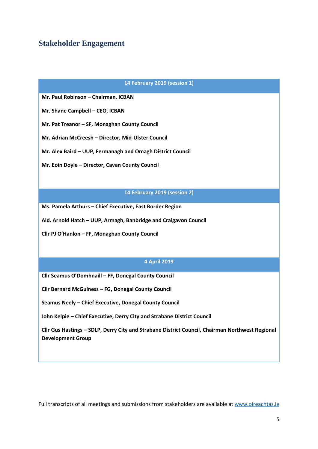## <span id="page-5-0"></span>**Stakeholder Engagement**

#### **14 February 2019 (session 1)**

**Mr. Paul Robinson – Chairman, ICBAN**

**Mr. Shane Campbell – CEO, ICBAN**

**Mr. Pat Treanor – SF, Monaghan County Council**

**Mr. Adrian McCreesh – Director, Mid-Ulster Council** 

**Mr. Alex Baird – UUP, Fermanagh and Omagh District Council**

**Mr. Eoin Doyle – Director, Cavan County Council**

#### **14 February 2019 (session 2)**

**Ms. Pamela Arthurs – Chief Executive, East Border Region**

**Ald. Arnold Hatch – UUP, Armagh, Banbridge and Craigavon Council** 

**Cllr PJ O'Hanlon – FF, Monaghan County Council** 

### **4 April 2019**

**Cllr Seamus O'Domhnaill – FF, Donegal County Council**

**Cllr Bernard McGuiness – FG, Donegal County Council**

**Seamus Neely – Chief Executive, Donegal County Council**

**John Kelpie – Chief Executive, Derry City and Strabane District Council** 

**Cllr Gus Hastings – SDLP, Derry City and Strabane District Council, Chairman Northwest Regional Development Group**

Full transcripts of all meetings and submissions from stakeholders are available at [www.oireachtas.ie](http://www.oireachtas.ie/)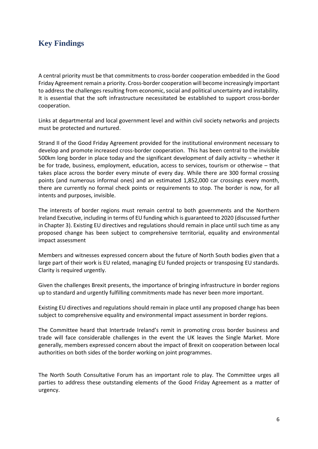# <span id="page-6-0"></span>**Key Findings**

A central priority must be that commitments to cross-border cooperation embedded in the Good Friday Agreement remain a priority. Cross-border cooperation will become increasingly important to address the challenges resulting from economic, social and political uncertainty and instability. It is essential that the soft infrastructure necessitated be established to support cross-border cooperation.

Links at departmental and local government level and within civil society networks and projects must be protected and nurtured.

Strand II of the Good Friday Agreement provided for the institutional environment necessary to develop and promote increased cross-border cooperation. This has been central to the invisible 500km long border in place today and the significant development of daily activity – whether it be for trade, business, employment, education, access to services, tourism or otherwise – that takes place across the border every minute of every day. While there are 300 formal crossing points (and numerous informal ones) and an estimated 1,852,000 car crossings every month, there are currently no formal check points or requirements to stop. The border is now, for all intents and purposes, invisible.

The interests of border regions must remain central to both governments and the Northern Ireland Executive, including in terms of EU funding which is guaranteed to 2020 (discussed further in Chapter 3). Existing EU directives and regulations should remain in place until such time as any proposed change has been subject to comprehensive territorial, equality and environmental impact assessment

Members and witnesses expressed concern about the future of North South bodies given that a large part of their work is EU related, managing EU funded projects or transposing EU standards. Clarity is required urgently.

Given the challenges Brexit presents, the importance of bringing infrastructure in border regions up to standard and urgently fulfilling commitments made has never been more important.

Existing EU directives and regulations should remain in place until any proposed change has been subject to comprehensive equality and environmental impact assessment in border regions.

The Committee heard that Intertrade Ireland's remit in promoting cross border business and trade will face considerable challenges in the event the UK leaves the Single Market. More generally, members expressed concern about the impact of Brexit on cooperation between local authorities on both sides of the border working on joint programmes.

The North South Consultative Forum has an important role to play. The Committee urges all parties to address these outstanding elements of the Good Friday Agreement as a matter of urgency.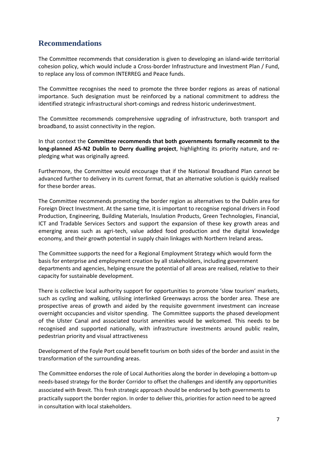## <span id="page-7-0"></span>**Recommendations**

The Committee recommends that consideration is given to developing an island-wide territorial cohesion policy, which would include a Cross-border Infrastructure and Investment Plan / Fund, to replace any loss of common INTERREG and Peace funds.

The Committee recognises the need to promote the three border regions as areas of national importance. Such designation must be reinforced by a national commitment to address the identified strategic infrastructural short-comings and redress historic underinvestment.

The Committee recommends comprehensive upgrading of infrastructure, both transport and broadband, to assist connectivity in the region.

In that context the **Committee recommends that both governments formally recommit to the long-planned A5-N2 Dublin to Derry dualling project**, highlighting its priority nature, and repledging what was originally agreed.

Furthermore, the Committee would encourage that if the National Broadband Plan cannot be advanced further to delivery in its current format, that an alternative solution is quickly realised for these border areas.

The Committee recommends promoting the border region as alternatives to the Dublin area for Foreign Direct Investment. At the same time, it is important to recognise regional drivers in Food Production, Engineering, Building Materials, Insulation Products, Green Technologies, Financial, ICT and Tradable Services Sectors and support the expansion of these key growth areas and emerging areas such as agri-tech, value added food production and the digital knowledge economy, and their growth potential in supply chain linkages with Northern Ireland areas**.**

The Committee supports the need for a Regional Employment Strategy which would form the basis for enterprise and employment creation by all stakeholders, including government departments and agencies, helping ensure the potential of all areas are realised, relative to their capacity for sustainable development.

There is collective local authority support for opportunities to promote 'slow tourism' markets, such as cycling and walking, utilising interlinked Greenways across the border area. These are prospective areas of growth and aided by the requisite government investment can increase overnight occupancies and visitor spending. The Committee supports the phased development of the Ulster Canal and associated tourist amenities would be welcomed. This needs to be recognised and supported nationally, with infrastructure investments around public realm, pedestrian priority and visual attractiveness

Development of the Foyle Port could benefit tourism on both sides of the border and assist in the transformation of the surrounding areas.

The Committee endorses the role of Local Authorities along the border in developing a bottom-up needs-based strategy for the Border Corridor to offset the challenges and identify any opportunities associated with Brexit. This fresh strategic approach should be endorsed by both governments to practically support the border region. In order to deliver this, priorities for action need to be agreed in consultation with local stakeholders.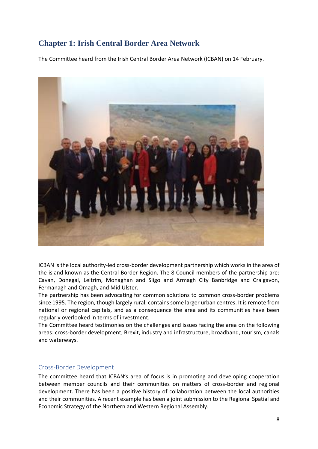# <span id="page-8-0"></span>**Chapter 1: Irish Central Border Area Network**

The Committee heard from the Irish Central Border Area Network (ICBAN) on 14 February.



ICBAN is the local authority-led cross-border development partnership which works in the area of the island known as the Central Border Region. The 8 Council members of the partnership are: Cavan, Donegal, Leitrim, Monaghan and Sligo and Armagh City Banbridge and Craigavon, Fermanagh and Omagh, and Mid Ulster.

The partnership has been advocating for common solutions to common cross-border problems since 1995. The region, though largely rural, contains some larger urban centres. It is remote from national or regional capitals, and as a consequence the area and its communities have been regularly overlooked in terms of investment.

The Committee heard testimonies on the challenges and issues facing the area on the following areas: cross-border development, Brexit, industry and infrastructure, broadband, tourism, canals and waterways.

#### <span id="page-8-1"></span>Cross-Border Development

The committee heard that ICBAN's area of focus is in promoting and developing cooperation between member councils and their communities on matters of cross-border and regional development. There has been a positive history of collaboration between the local authorities and their communities. A recent example has been a joint submission to the Regional Spatial and Economic Strategy of the Northern and Western Regional Assembly.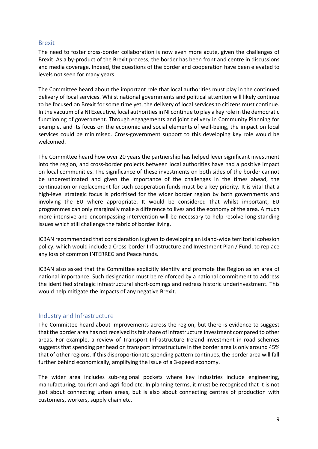#### <span id="page-9-0"></span>Brexit

The need to foster cross-border collaboration is now even more acute, given the challenges of Brexit. As a by-product of the Brexit process, the border has been front and centre in discussions and media coverage. Indeed, the questions of the border and cooperation have been elevated to levels not seen for many years.

The Committee heard about the important role that local authorities must play in the continued delivery of local services. Whilst national governments and political attention will likely continue to be focused on Brexit for some time yet, the delivery of local services to citizens must continue. In the vacuum of a NI Executive, local authorities in NI continue to play a key role in the democratic functioning of government. Through engagements and joint delivery in Community Planning for example, and its focus on the economic and social elements of well-being, the impact on local services could be minimised. Cross-government support to this developing key role would be welcomed.

The Committee heard how over 20 years the partnership has helped lever significant investment into the region, and cross-border projects between local authorities have had a positive impact on local communities. The significance of these investments on both sides of the border cannot be underestimated and given the importance of the challenges in the times ahead, the continuation or replacement for such cooperation funds must be a key priority. It is vital that a high-level strategic focus is prioritised for the wider border region by both governments and involving the EU where appropriate. It would be considered that whilst important, EU programmes can only marginally make a difference to lives and the economy of the area. A much more intensive and encompassing intervention will be necessary to help resolve long-standing issues which still challenge the fabric of border living.

ICBAN recommended that consideration is given to developing an island-wide territorial cohesion policy, which would include a Cross-border Infrastructure and Investment Plan / Fund, to replace any loss of common INTERREG and Peace funds.

ICBAN also asked that the Committee explicitly identify and promote the Region as an area of national importance. Such designation must be reinforced by a national commitment to address the identified strategic infrastructural short-comings and redress historic underinvestment. This would help mitigate the impacts of any negative Brexit.

#### <span id="page-9-1"></span>Industry and Infrastructure

The Committee heard about improvements across the region, but there is evidence to suggest that the border area has not received its fair share of infrastructure investment compared to other areas. For example, a review of Transport Infrastructure Ireland investment in road schemes suggests that spending per head on transport infrastructure in the border area is only around 45% that of other regions. If this disproportionate spending pattern continues, the border area will fall further behind economically, amplifying the issue of a 3-speed economy.

The wider area includes sub-regional pockets where key industries include engineering, manufacturing, tourism and agri-food etc. In planning terms, it must be recognised that it is not just about connecting urban areas, but is also about connecting centres of production with customers, workers, supply chain etc.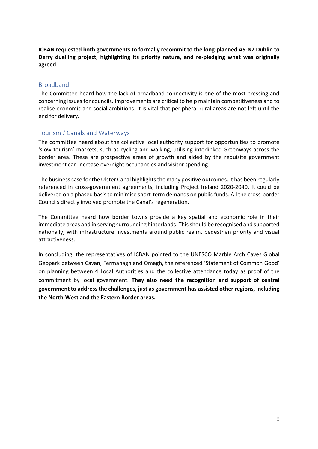**ICBAN requested both governments to formally recommit to the long-planned A5-N2 Dublin to Derry dualling project, highlighting its priority nature, and re-pledging what was originally agreed.** 

### <span id="page-10-0"></span>Broadband

The Committee heard how the lack of broadband connectivity is one of the most pressing and concerning issues for councils. Improvements are critical to help maintain competitiveness and to realise economic and social ambitions. It is vital that peripheral rural areas are not left until the end for delivery.

### <span id="page-10-1"></span>Tourism / Canals and Waterways

The committee heard about the collective local authority support for opportunities to promote 'slow tourism' markets, such as cycling and walking, utilising interlinked Greenways across the border area. These are prospective areas of growth and aided by the requisite government investment can increase overnight occupancies and visitor spending.

The business case for the Ulster Canal highlights the many positive outcomes. It has been regularly referenced in cross-government agreements, including Project Ireland 2020-2040. It could be delivered on a phased basis to minimise short-term demands on public funds. All the cross-border Councils directly involved promote the Canal's regeneration.

The Committee heard how border towns provide a key spatial and economic role in their immediate areas and in serving surrounding hinterlands. This should be recognised and supported nationally, with infrastructure investments around public realm, pedestrian priority and visual attractiveness.

In concluding, the representatives of ICBAN pointed to the UNESCO Marble Arch Caves Global Geopark between Cavan, Fermanagh and Omagh, the referenced 'Statement of Common Good' on planning between 4 Local Authorities and the collective attendance today as proof of the commitment by local government. **They also need the recognition and support of central government to address the challenges, just as government has assisted other regions, including the North-West and the Eastern Border areas.**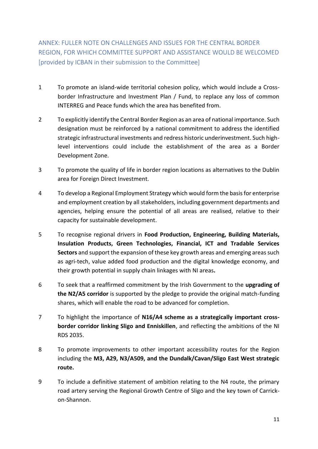<span id="page-11-0"></span>ANNEX: FULLER NOTE ON CHALLENGES AND ISSUES FOR THE CENTRAL BORDER REGION, FOR WHICH COMMITTEE SUPPORT AND ASSISTANCE WOULD BE WELCOMED [provided by ICBAN in their submission to the Committee]

- 1 To promote an island-wide territorial cohesion policy, which would include a Crossborder Infrastructure and Investment Plan / Fund, to replace any loss of common INTERREG and Peace funds which the area has benefited from.
- 2 To explicitly identify the Central Border Region as an area of national importance. Such designation must be reinforced by a national commitment to address the identified strategic infrastructural investments and redress historic underinvestment. Such highlevel interventions could include the establishment of the area as a Border Development Zone.
- 3 To promote the quality of life in border region locations as alternatives to the Dublin area for Foreign Direct Investment.
- 4 To develop a Regional Employment Strategy which would form the basis for enterprise and employment creation by all stakeholders, including government departments and agencies, helping ensure the potential of all areas are realised, relative to their capacity for sustainable development.
- 5 To recognise regional drivers in **Food Production, Engineering, Building Materials, Insulation Products, Green Technologies, Financial, ICT and Tradable Services Sectors** and support the expansion of these key growth areas and emerging areas such as agri-tech, value added food production and the digital knowledge economy, and their growth potential in supply chain linkages with NI areas**.**
- 6 To seek that a reaffirmed commitment by the Irish Government to the **upgrading of the N2/A5 corridor** is supported by the pledge to provide the original match-funding shares, which will enable the road to be advanced for completion.
- 7 To highlight the importance of **N16/A4 scheme as a strategically important crossborder corridor linking Sligo and Enniskillen**, and reflecting the ambitions of the NI RDS 2035.
- 8 To promote improvements to other important accessibility routes for the Region including the **M3, A29, N3/A509, and the Dundalk/Cavan/Sligo East West strategic route.**
- 9 To include a definitive statement of ambition relating to the N4 route, the primary road artery serving the Regional Growth Centre of Sligo and the key town of Carrickon-Shannon.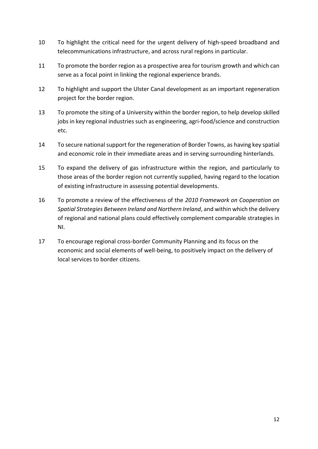- 10 To highlight the critical need for the urgent delivery of high-speed broadband and telecommunications infrastructure, and across rural regions in particular.
- 11 To promote the border region as a prospective area for tourism growth and which can serve as a focal point in linking the regional experience brands.
- 12 To highlight and support the Ulster Canal development as an important regeneration project for the border region.
- 13 To promote the siting of a University within the border region, to help develop skilled jobs in key regional industries such as engineering, agri-food/science and construction etc.
- 14 To secure national support for the regeneration of Border Towns, as having key spatial and economic role in their immediate areas and in serving surrounding hinterlands.
- 15 To expand the delivery of gas infrastructure within the region, and particularly to those areas of the border region not currently supplied, having regard to the location of existing infrastructure in assessing potential developments.
- 16 To promote a review of the effectiveness of the *2010 Framework on Cooperation on Spatial Strategies Between Ireland and Northern Ireland*, and within which the delivery of regional and national plans could effectively complement comparable strategies in NI.
- 17 To encourage regional cross-border Community Planning and its focus on the economic and social elements of well-being, to positively impact on the delivery of local services to border citizens.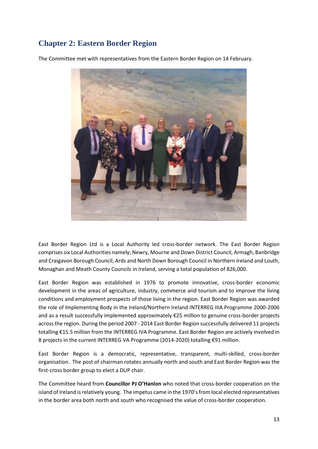# <span id="page-13-0"></span>**Chapter 2: Eastern Border Region**

The Committee met with representatives from the Eastern Border Region on 14 February.



East Border Region Ltd is a Local Authority led cross-border network. The East Border Region comprises six Local Authorities namely; Newry, Mourne and Down District Council, Armagh, Banbridge and Craigavon Borough Council, Ards and North Down Borough Council in Northern Ireland and Louth, Monaghan and Meath County Councils in Ireland, serving a total population of 826,000.

East Border Region was established in 1976 to promote innovative, cross-border economic development in the areas of agriculture, industry, commerce and tourism and to improve the living conditions and employment prospects of those living in the region. East Border Region was awarded the role of Implementing Body in the Ireland/Northern Ireland INTERREG IIIA Programme 2000-2006 and as a result successfully implemented approximately €25 million to genuine cross-border projects across the region. During the period 2007 - 2014 East Border Region successfully delivered 11 projects totalling €15.5 million from the INTERREG IVA Programme. East Border Region are actively involved in 8 projects in the current INTERREG VA Programme (2014-2020) totalling €91 million.

East Border Region is a democratic, representative, transparent, multi-skilled, cross-border organisation. The post of chairman rotates annually north and south and East Border Region was the first-cross border group to elect a DUP chair.

The Committee heard from **Councillor PJ O'Hanlon** who noted that cross-border cooperation on the island of Ireland is relatively young. The impetus came in the 1970's from local elected representatives in the border area both north and south who recognised the value of cross-border cooperation.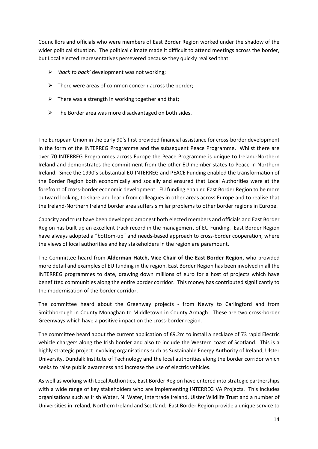Councillors and officials who were members of East Border Region worked under the shadow of the wider political situation. The political climate made it difficult to attend meetings across the border, but Local elected representatives persevered because they quickly realised that:

- ➢ *'back to back'* development was not working;
- $\triangleright$  There were areas of common concern across the border;
- $\triangleright$  There was a strength in working together and that;
- $\triangleright$  The Border area was more disadvantaged on both sides.

The European Union in the early 90's first provided financial assistance for cross-border development in the form of the INTERREG Programme and the subsequent Peace Programme. Whilst there are over 70 INTERREG Programmes across Europe the Peace Programme is unique to Ireland-Northern Ireland and demonstrates the commitment from the other EU member states to Peace in Northern Ireland. Since the 1990's substantial EU INTERREG and PEACE Funding enabled the transformation of the Border Region both economically and socially and ensured that Local Authorities were at the forefront of cross-border economic development. EU funding enabled East Border Region to be more outward looking, to share and learn from colleagues in other areas across Europe and to realise that the Ireland-Northern Ireland border area suffers similar problems to other border regions in Europe.

Capacity and trust have been developed amongst both elected members and officials and East Border Region has built up an excellent track record in the management of EU Funding. East Border Region have always adopted a "bottom-up" and needs-based approach to cross-border cooperation, where the views of local authorities and key stakeholders in the region are paramount.

The Committee heard from **Alderman Hatch, Vice Chair of the East Border Region,** who provided more detail and examples of EU funding in the region. East Border Region has been involved in all the INTERREG programmes to date, drawing down millions of euro for a host of projects which have benefitted communities along the entire border corridor. This money has contributed significantly to the modernisation of the border corridor.

The committee heard about the Greenway projects - from Newry to Carlingford and from Smithborough in County Monaghan to Middletown in County Armagh. These are two cross-border Greenways which have a positive impact on the cross-border region.

The committee heard about the current application of €9.2m to install a necklace of 73 rapid Electric vehicle chargers along the Irish border and also to include the Western coast of Scotland. This is a highly strategic project involving organisations such as Sustainable Energy Authority of Ireland, Ulster University, Dundalk Institute of Technology and the local authorities along the border corridor which seeks to raise public awareness and increase the use of electric vehicles.

As well as working with Local Authorities, East Border Region have entered into strategic partnerships with a wide range of key stakeholders who are implementing INTERREG VA Projects. This includes organisations such as Irish Water, NI Water, Intertrade Ireland, Ulster Wildlife Trust and a number of Universities in Ireland, Northern Ireland and Scotland. East Border Region provide a unique service to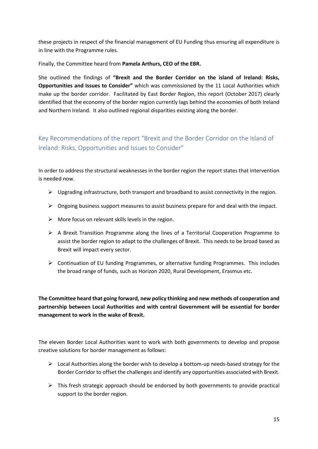these projects in respect of the financial management of EU Funding thus ensuring all expenditure is in line with the Programme rules.

Finally, the Committee heard from **Pamela Arthurs, CEO of the EBR.**

She outlined the findings of **"Brexit and the Border Corridor on the island of Ireland: Risks, Opportunities and Issues to Consider"** which was commissioned by the 11 Local Authorities which make up the border corridor. Facilitated by East Border Region, this report (October 2017) clearly identified that the economy of the border region currently lags behind the economies of both Ireland and Northern Ireland. It also outlined regional disparities existing along the border.

<span id="page-15-0"></span>Key Recommendations of the report "Brexit and the Border Corridor on the Island of Ireland: Risks, Opportunities and Issues to Consider"

In order to address the structural weaknesses in the border region the report states that intervention is needed now.

- ➢ Upgrading infrastructure, both transport and broadband to assist connectivity in the region.
- ➢ Ongoing business support measures to assist business prepare for and deal with the impact.
- $\triangleright$  More focus on relevant skills levels in the region.
- ➢ A Brexit Transition Programme along the lines of a Territorial Cooperation Programme to assist the border region to adapt to the challenges of Brexit. This needs to be broad based as Brexit will impact every sector.
- ➢ Continuation of EU funding Programmes, or alternative funding Programmes. This includes the broad range of funds, such as Horizon 2020, Rural Development, Erasmus etc.

**The Committee heard that going forward, new policy thinking and new methods of cooperation and partnership between Local Authorities and with central Government will be essential for border management to work in the wake of Brexit.**

The eleven Border Local Authorities want to work with both governments to develop and propose creative solutions for border management as follows:

- $\triangleright$  Local Authorities along the border wish to develop a bottom-up needs-based strategy for the Border Corridor to offset the challenges and identify any opportunities associated with Brexit.
- $\triangleright$  This fresh strategic approach should be endorsed by both governments to provide practical support to the border region.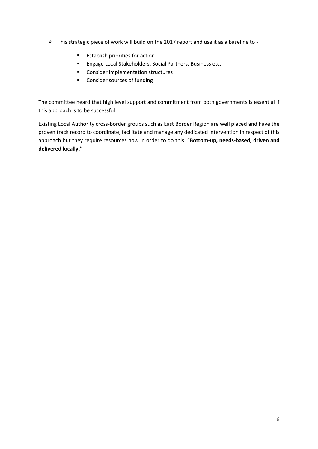- ➢ This strategic piece of work will build on the 2017 report and use it as a baseline to
	- Establish priorities for action
	- Engage Local Stakeholders, Social Partners, Business etc.
	- Consider implementation structures
	- Consider sources of funding

The committee heard that high level support and commitment from both governments is essential if this approach is to be successful.

Existing Local Authority cross-border groups such as East Border Region are well placed and have the proven track record to coordinate, facilitate and manage any dedicated intervention in respect of this approach but they require resources now in order to do this. "**Bottom-up, needs-based, driven and delivered locally."**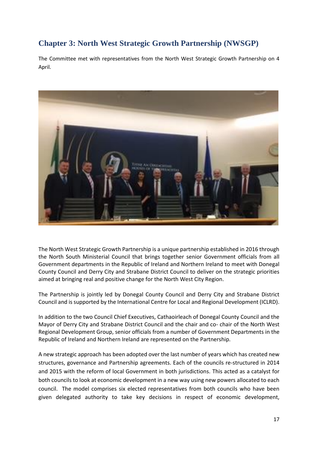# <span id="page-17-0"></span>**Chapter 3: North West Strategic Growth Partnership (NWSGP)**

The Committee met with representatives from the North West Strategic Growth Partnership on 4 April.



The North West Strategic Growth Partnership is a unique partnership established in 2016 through the North South Ministerial Council that brings together senior Government officials from all Government departments in the Republic of Ireland and Northern Ireland to meet with Donegal County Council and Derry City and Strabane District Council to deliver on the strategic priorities aimed at bringing real and positive change for the North West City Region.

The Partnership is jointly led by Donegal County Council and Derry City and Strabane District Council and is supported by the International Centre for Local and Regional Development (ICLRD).

In addition to the two Council Chief Executives, Cathaoirleach of Donegal County Council and the Mayor of Derry City and Strabane District Council and the chair and co- chair of the North West Regional Development Group, senior officials from a number of Government Departments in the Republic of Ireland and Northern Ireland are represented on the Partnership.

A new strategic approach has been adopted over the last number of years which has created new structures, governance and Partnership agreements. Each of the councils re-structured in 2014 and 2015 with the reform of local Government in both jurisdictions. This acted as a catalyst for both councils to look at economic development in a new way using new powers allocated to each council. The model comprises six elected representatives from both councils who have been given delegated authority to take key decisions in respect of economic development,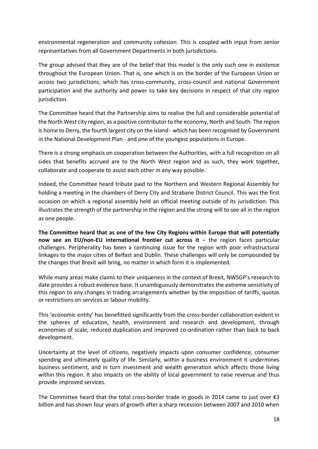environmental regeneration and community cohesion. This is coupled with input from senior representatives from all Government Departments in both jurisdictions.

The group advised that they are of the belief that this model is the only such one in existence throughout the European Union. That is, one which is on the border of the European Union or across two jurisdictions, which has cross-community, cross-council and national Government participation and the authority and power to take key decisions in respect of that city region jurisdiction.

The Committee heard that the Partnership aims to realise the full and considerable potential of the North West city region, as a positive contributor to the economy, North and South. The region is home to Derry, the fourth largest city on the island - which has been recognised by Government in the National Development Plan - and one of the youngest populations in Europe.

There is a strong emphasis on cooperation between the Authorities, with a full recognition on all sides that benefits accrued are to the North West region and as such, they work together, collaborate and cooperate to assist each other in any way possible.

Indeed, the Committee heard tribute paid to the Northern and Western Regional Assembly for holding a meeting in the chambers of Derry City and Strabane District Council. This was the first occasion on which a regional assembly held an official meeting outside of its jurisdiction. This illustrates the strength of the partnership in the region and the strong will to see all in the region as one people.

**The Committee heard that as one of the few City Regions within Europe that will potentially now see an EU/non-EU international frontier cut across it** – the region faces particular challenges. Peripherality has been a continuing issue for the region with poor infrastructural linkages to the major cities of Belfast and Dublin. These challenges will only be compounded by the changes that Brexit will bring, no matter in which form it is implemented.

While many areas make claims to their uniqueness in the context of Brexit, NWSGP's research to date provides a robust evidence base. It unambiguously demonstrates the extreme sensitivity of this region to any changes in trading arrangements whether by the imposition of tariffs, quotas or restrictions on services or labour mobility.

This 'economic entity' has benefitted significantly from the cross-border collaboration evident in the spheres of education, health, environment and research and development, through economies of scale, reduced duplication and improved co-ordination rather than back to back development.

Uncertainty at the level of citizens, negatively impacts upon consumer confidence, consumer spending and ultimately quality of life. Similarly, within a business environment it undermines business sentiment, and in turn investment and wealth generation which affects those living within this region. It also impacts on the ability of local government to raise revenue and thus provide improved services.

The Committee heard that the total cross-border trade in goods in 2014 came to just over  $\epsilon$ 3 billion and has shown four years of growth after a sharp recession between 2007 and 2010 when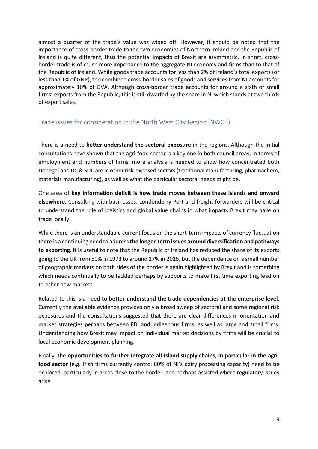almost a quarter of the trade's value was wiped off. However, it should be noted that the importance of cross-border trade to the two economies of Northern Ireland and the Republic of Ireland is quite different, thus the potential impacts of Brexit are asymmetric. In short, crossborder trade is of much more importance to the aggregate NI economy and firms than to that of the Republic of Ireland. While goods trade accounts for less than 2% of Ireland's total exports (or less than 1% of GNP), the combined cross-border sales of goods and services from NI accounts for approximately 10% of GVA. Although cross-border trade accounts for around a sixth of small firms' exports from the Republic, this is still dwarfed by the share in NI which stands at two thirds of export sales.

## <span id="page-19-0"></span>Trade issues for consideration in the North West City Region (NWCR)

There is a need to **better understand the sectoral exposure** in the regions. Although the initial consultations have shown that the agri-food sector is a key one in both council areas, in terms of employment and numbers of firms, more analysis is needed to show how concentrated both Donegal and DC & SDC are in other risk-exposed sectors (traditional manufacturing, pharmachem, materials manufacturing), as well as what the particular sectoral needs might be.

One area of **key information deficit is how trade moves between these islands and onward elsewhere**. Consulting with businesses, Londonderry Port and freight forwarders will be critical to understand the role of logistics and global value chains in what impacts Brexit may have on trade locally.

While there is an understandable current focus on the short-term impacts of currency fluctuation there is a continuing need to address **the longer-term issues around diversification and pathways to exporting**. It is useful to note that the Republic of Ireland has reduced the share of its exports going to the UK from 50% in 1973 to around 17% in 2015, but the dependence on a small number of geographic markets on both sides of the border is again highlighted by Brexit and is something which needs continually to be tackled perhaps by supports to make first time exporting lead on to other new markets.

Related to this is a need **to better understand the trade dependencies at the enterprise level**. Currently the available evidence provides only a broad sweep of sectoral and some regional risk exposures and the consultations suggested that there are clear differences in orientation and market strategies perhaps between FDI and indigenous firms, as well as large and small firms. Understanding how Brexit may impact on individual market decisions by firms will be crucial to local economic development planning.

Finally, the **opportunities to further integrate all-island supply chains, in particular in the agrifood sector** (e.g. Irish firms currently control 60% of NI's dairy processing capacity) need to be explored, particularly in areas close to the border, and perhaps assisted where regulatory issues arise.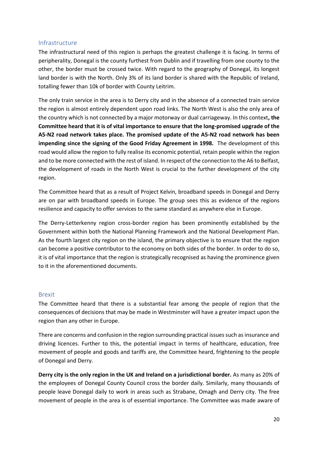### <span id="page-20-0"></span>Infrastructure

The infrastructural need of this region is perhaps the greatest challenge it is facing. In terms of peripherality, Donegal is the county furthest from Dublin and if travelling from one county to the other, the border must be crossed twice. With regard to the geography of Donegal, its longest land border is with the North. Only 3% of its land border is shared with the Republic of Ireland, totalling fewer than 10k of border with County Leitrim.

The only train service in the area is to Derry city and in the absence of a connected train service the region is almost entirely dependent upon road links. The North West is also the only area of the country which is not connected by a major motorway or dual carriageway. In this context**, the Committee heard that it is of vital importance to ensure that the long-promised upgrade of the A5-N2 road network takes place. The promised update of the A5-N2 road network has been impending since the signing of the Good Friday Agreement in 1998.** The development of this road would allow the region to fully realise its economic potential, retain people within the region and to be more connected with the rest of island. In respect of the connection to the A6 to Belfast, the development of roads in the North West is crucial to the further development of the city region.

The Committee heard that as a result of Project Kelvin, broadband speeds in Donegal and Derry are on par with broadband speeds in Europe. The group sees this as evidence of the regions resilience and capacity to offer services to the same standard as anywhere else in Europe.

The Derry-Letterkenny region cross-border region has been prominently established by the Government within both the National Planning Framework and the National Development Plan. As the fourth largest city region on the island, the primary objective is to ensure that the region can become a positive contributor to the economy on both sides of the border. In order to do so, it is of vital importance that the region is strategically recognised as having the prominence given to it in the aforementioned documents.

#### <span id="page-20-1"></span>Brexit

The Committee heard that there is a substantial fear among the people of region that the consequences of decisions that may be made in Westminster will have a greater impact upon the region than any other in Europe.

There are concerns and confusion in the region surrounding practical issues such as insurance and driving licences. Further to this, the potential impact in terms of healthcare, education, free movement of people and goods and tariffs are, the Committee heard, frightening to the people of Donegal and Derry.

**Derry city is the only region in the UK and Ireland on a jurisdictional border.** As many as 20% of the employees of Donegal County Council cross the border daily. Similarly, many thousands of people leave Donegal daily to work in areas such as Strabane, Omagh and Derry city. The free movement of people in the area is of essential importance. The Committee was made aware of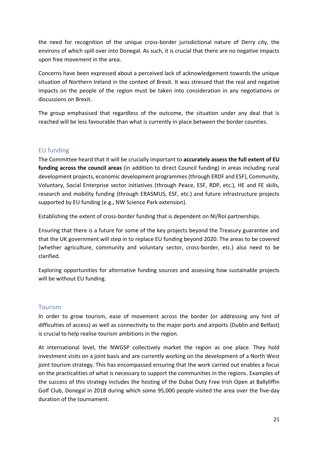the need for recognition of the unique cross-border jurisdictional nature of Derry city, the environs of which spill over into Donegal. As such, it is crucial that there are no negative impacts upon free movement in the area.

Concerns have been expressed about a perceived lack of acknowledgement towards the unique situation of Northern Ireland in the context of Brexit. It was stressed that the real and negative impacts on the people of the region must be taken into consideration in any negotiations or discussions on Brexit.

The group emphasised that regardless of the outcome, the situation under any deal that is reached will be less favourable than what is currently in place between the border counties.

## <span id="page-21-0"></span>EU funding

The Committee heard that it will be crucially important to **accurately assess the full extent of EU funding across the council areas** (in addition to direct Council funding) in areas including rural development projects, economic development programmes (through ERDF and ESF), Community, Voluntary, Social Enterprise sector initiatives (through Peace, ESF, RDP, etc.), HE and FE skills, research and mobility funding (through ERASMUS, ESF, etc.) and future infrastructure projects supported by EU funding (e.g., NW Science Park extension).

Establishing the extent of cross-border funding that is dependent on NI/RoI partnerships.

Ensuring that there is a future for some of the key projects beyond the Treasury guarantee and that the UK government will step in to replace EU funding beyond 2020. The areas to be covered (whether agriculture, community and voluntary sector, cross-border, etc.) also need to be clarified.

Exploring opportunities for alternative funding sources and assessing how sustainable projects will be without EU funding.

### <span id="page-21-1"></span>Tourism

In order to grow tourism, ease of movement across the border (or addressing any hint of difficulties of access) as well as connectivity to the major ports and airports (Dublin and Belfast) is crucial to help realise tourism ambitions in the region.

At international level, the NWGSP collectively market the region as one place. They hold investment visits on a joint basis and are currently working on the development of a North West joint tourism strategy. This has encompassed ensuring that the work carried out enables a focus on the practicalities of what is necessary to support the communities in the regions. Examples of the success of this strategy includes the hosting of the Dubai Duty Free Irish Open at Ballyliffin Golf Club, Donegal in 2018 during which some 95,000 people visited the area over the five-day duration of the tournament.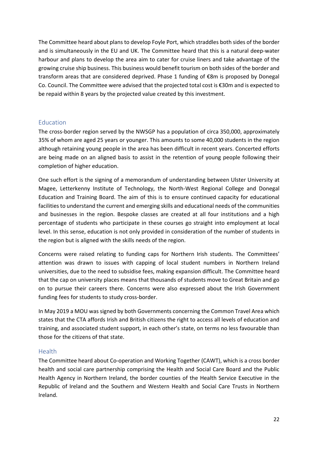The Committee heard about plans to develop Foyle Port, which straddles both sides of the border and is simultaneously in the EU and UK. The Committee heard that this is a natural deep-water harbour and plans to develop the area aim to cater for cruise liners and take advantage of the growing cruise ship business. This business would benefit tourism on both sides of the border and transform areas that are considered deprived. Phase 1 funding of €8m is proposed by Donegal Co. Council. The Committee were advised that the projected total cost is €30m and is expected to be repaid within 8 years by the projected value created by this investment.

### <span id="page-22-0"></span>Education

The cross-border region served by the NWSGP has a population of circa 350,000, approximately 35% of whom are aged 25 years or younger. This amounts to some 40,000 students in the region although retaining young people in the area has been difficult in recent years. Concerted efforts are being made on an aligned basis to assist in the retention of young people following their completion of higher education.

One such effort is the signing of a memorandum of understanding between Ulster University at Magee, Letterkenny Institute of Technology, the North-West Regional College and Donegal Education and Training Board. The aim of this is to ensure continued capacity for educational facilities to understand the current and emerging skills and educational needs of the communities and businesses in the region. Bespoke classes are created at all four institutions and a high percentage of students who participate in these courses go straight into employment at local level. In this sense, education is not only provided in consideration of the number of students in the region but is aligned with the skills needs of the region.

Concerns were raised relating to funding caps for Northern Irish students. The Committees' attention was drawn to issues with capping of local student numbers in Northern Ireland universities, due to the need to subsidise fees, making expansion difficult. The Committee heard that the cap on university places means that thousands of students move to Great Britain and go on to pursue their careers there. Concerns were also expressed about the Irish Government funding fees for students to study cross-border.

In May 2019 a MOU was signed by both Governments concerning the Common Travel Area which states that the CTA affords Irish and British citizens the right to access all levels of education and training, and associated student support, in each other's state, on terms no less favourable than those for the citizens of that state.

#### <span id="page-22-1"></span>**Health**

The Committee heard about Co-operation and Working Together (CAWT), which is a cross border health and social care partnership comprising the Health and Social Care Board and the Public Health Agency in Northern Ireland, the border counties of the Health Service Executive in the Republic of Ireland and the Southern and Western Health and Social Care Trusts in Northern Ireland.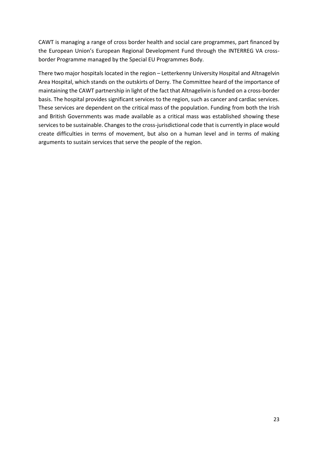CAWT is managing a range of cross border health and social care programmes, part financed by the European Union's European Regional Development Fund through the INTERREG VA crossborder Programme managed by the Special EU Programmes Body.

There two major hospitals located in the region – Letterkenny University Hospital and Altnagelvin Area Hospital, which stands on the outskirts of Derry. The Committee heard of the importance of maintaining the CAWT partnership in light of the fact that Altnagelivin is funded on a cross-border basis. The hospital provides significant services to the region, such as cancer and cardiac services. These services are dependent on the critical mass of the population. Funding from both the Irish and British Governments was made available as a critical mass was established showing these services to be sustainable. Changes to the cross-jurisdictional code that is currently in place would create difficulties in terms of movement, but also on a human level and in terms of making arguments to sustain services that serve the people of the region.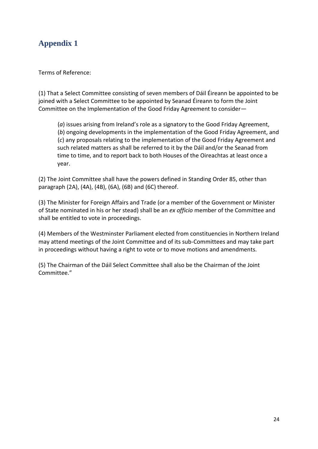# <span id="page-24-0"></span>**Appendix 1**

Terms of Reference:

(1) That a Select Committee consisting of seven members of Dáil Éireann be appointed to be joined with a Select Committee to be appointed by Seanad Éireann to form the Joint Committee on the Implementation of the Good Friday Agreement to consider—

(*a*) issues arising from Ireland's role as a signatory to the Good Friday Agreement, (*b*) ongoing developments in the implementation of the Good Friday Agreement, and (*c*) any proposals relating to the implementation of the Good Friday Agreement and such related matters as shall be referred to it by the Dáil and/or the Seanad from time to time, and to report back to both Houses of the Oireachtas at least once a year.

(2) The Joint Committee shall have the powers defined in Standing Order 85, other than paragraph (2A), (4A), (4B), (6A), (6B) and (6C) thereof.

(3) The Minister for Foreign Affairs and Trade (or a member of the Government or Minister of State nominated in his or her stead) shall be an *ex officio* member of the Committee and shall be entitled to vote in proceedings.

(4) Members of the Westminster Parliament elected from constituencies in Northern Ireland may attend meetings of the Joint Committee and of its sub-Committees and may take part in proceedings without having a right to vote or to move motions and amendments.

(5) The Chairman of the Dáil Select Committee shall also be the Chairman of the Joint Committee."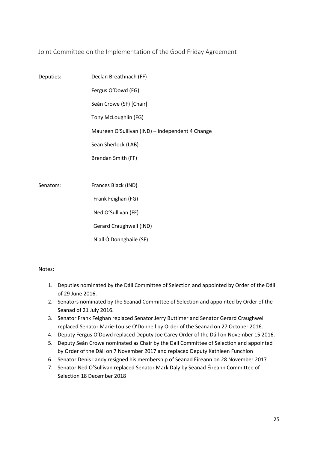<span id="page-25-0"></span>Joint Committee on the Implementation of the Good Friday Agreement

| Deputies: | Declan Breathnach (FF)                          |
|-----------|-------------------------------------------------|
|           | Fergus O'Dowd (FG)                              |
|           | Seán Crowe (SF) [Chair]                         |
|           | Tony McLoughlin (FG)                            |
|           | Maureen O'Sullivan (IND) - Independent 4 Change |
|           | Sean Sherlock (LAB)                             |
|           | Brendan Smith (FF)                              |
|           |                                                 |
| Senators: | Frances Black (IND)                             |
|           | Frank Feighan (FG)                              |
|           | Ned O'Sullivan (FF)                             |
|           | Gerard Craughwell (IND)                         |
|           | Niall Ó Donnghaile (SF)                         |

Notes:

- 1. Deputies nominated by the Dáil Committee of Selection and appointed by Order of the Dáil of 29 June 2016.
- 2. Senators nominated by the Seanad Committee of Selection and appointed by Order of the Seanad of 21 July 2016.
- 3. Senator Frank Feighan replaced Senator Jerry Buttimer and Senator Gerard Craughwell replaced Senator Marie-Louise O'Donnell by Order of the Seanad on 27 October 2016.
- 4. Deputy Fergus O'Dowd replaced Deputy Joe Carey Order of the Dáil on November 15 2016.
- 5. Deputy Seán Crowe nominated as Chair by the Dáil Committee of Selection and appointed by Order of the Dáil on 7 November 2017 and replaced Deputy Kathleen Funchion
- 6. Senator Denis Landy resigned his membership of Seanad Éireann on 28 November 2017
- 7. Senator Ned O'Sullivan replaced Senator Mark Daly by Seanad Éireann Committee of Selection 18 December 2018